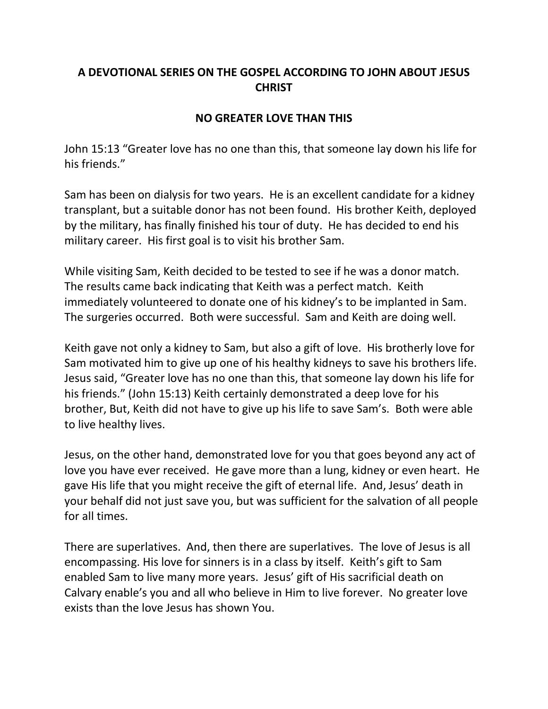## **A DEVOTIONAL SERIES ON THE GOSPEL ACCORDING TO JOHN ABOUT JESUS CHRIST**

## **NO GREATER LOVE THAN THIS**

John 15:13 "Greater love has no one than this, that someone lay down his life for his friends."

Sam has been on dialysis for two years. He is an excellent candidate for a kidney transplant, but a suitable donor has not been found. His brother Keith, deployed by the military, has finally finished his tour of duty. He has decided to end his military career. His first goal is to visit his brother Sam.

While visiting Sam, Keith decided to be tested to see if he was a donor match. The results came back indicating that Keith was a perfect match. Keith immediately volunteered to donate one of his kidney's to be implanted in Sam. The surgeries occurred. Both were successful. Sam and Keith are doing well.

Keith gave not only a kidney to Sam, but also a gift of love. His brotherly love for Sam motivated him to give up one of his healthy kidneys to save his brothers life. Jesus said, "Greater love has no one than this, that someone lay down his life for his friends." (John 15:13) Keith certainly demonstrated a deep love for his brother, But, Keith did not have to give up his life to save Sam's. Both were able to live healthy lives.

Jesus, on the other hand, demonstrated love for you that goes beyond any act of love you have ever received. He gave more than a lung, kidney or even heart. He gave His life that you might receive the gift of eternal life. And, Jesus' death in your behalf did not just save you, but was sufficient for the salvation of all people for all times.

There are superlatives. And, then there are superlatives. The love of Jesus is all encompassing. His love for sinners is in a class by itself. Keith's gift to Sam enabled Sam to live many more years. Jesus' gift of His sacrificial death on Calvary enable's you and all who believe in Him to live forever. No greater love exists than the love Jesus has shown You.